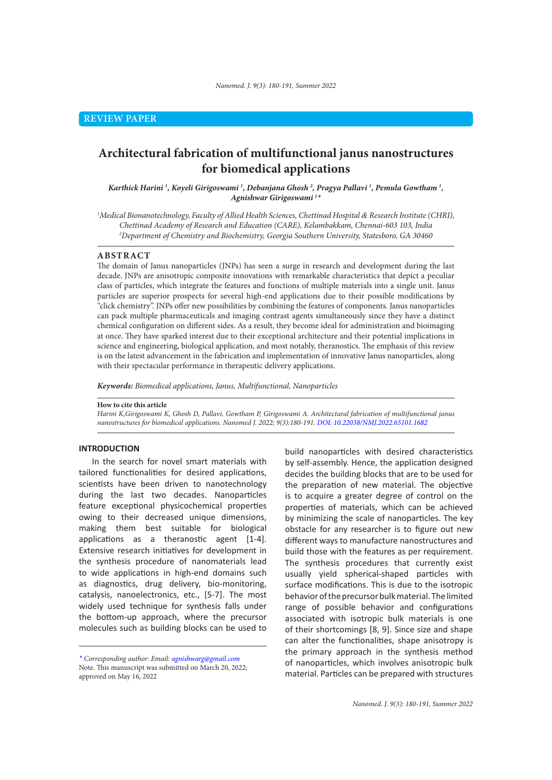# **Architectural fabrication of multifunctional janus nanostructures for biomedical applications**

*Karthick Harini 1 , Koyeli Girigoswami 1 , Debanjana Ghosh 2 , Pragya Pallavi 1 , Pemula Gowtham 1 , Agnishwar Girigoswami 1 \**

*1 Medical Bionanotechnology, Faculty of Allied Health Sciences, Chettinad Hospital & Research Institute (CHRI), Chettinad Academy of Research and Education (CARE), Kelambakkam, Chennai-603 103, India 2 Department of Chemistry and Biochemistry, Georgia Southern University, Statesboro, GA 30460*

#### **ABSTRACT**

The domain of Janus nanoparticles (JNPs) has seen a surge in research and development during the last decade. JNPs are anisotropic composite innovations with remarkable characteristics that depict a peculiar class of particles, which integrate the features and functions of multiple materials into a single unit. Janus particles are superior prospects for several high-end applications due to their possible modifications by "click chemistry". JNPs offer new possibilities by combining the features of components. Janus nanoparticles can pack multiple pharmaceuticals and imaging contrast agents simultaneously since they have a distinct chemical configuration on different sides. As a result, they become ideal for administration and bioimaging at once. They have sparked interest due to their exceptional architecture and their potential implications in science and engineering, biological application, and most notably, theranostics. The emphasis of this review is on the latest advancement in the fabrication and implementation of innovative Janus nanoparticles, along with their spectacular performance in therapeutic delivery applications.

*Keywords: Biomedical applications, Janus, Multifunctional, Nanoparticles*

#### **How to cite this article**

*Harini K,Girigoswami K, Ghosh D, Pallavi, Gowtham P, Girigoswami A. Architectural fabrication of multifunctional janus nanostructures for biomedical applications. Nanomed J. 2022; 9(3):180-191. DOI: 10.22038/NMJ.2022.65101.1682*

## **INTRODUCTION**

In the search for novel smart materials with tailored functionalities for desired applications, scientists have been driven to nanotechnology during the last two decades. Nanoparticles feature exceptional physicochemical properties owing to their decreased unique dimensions, making them best suitable for biological applications as a theranostic agent [1-4]. Extensive research initiatives for development in the synthesis procedure of nanomaterials lead to wide applications in high-end domains such as diagnostics, drug delivery, bio-monitoring, catalysis, nanoelectronics, etc., [5-7]. The most widely used technique for synthesis falls under the bottom-up approach, where the precursor molecules such as building blocks can be used to

build nanoparticles with desired characteristics by self-assembly. Hence, the application designed decides the building blocks that are to be used for the preparation of new material. The objective is to acquire a greater degree of control on the properties of materials, which can be achieved by minimizing the scale of nanoparticles. The key obstacle for any researcher is to figure out new different ways to manufacture nanostructures and build those with the features as per requirement. The synthesis procedures that currently exist usually yield spherical-shaped particles with surface modifications. This is due to the isotropic behavior of the precursor bulk material. The limited range of possible behavior and configurations associated with isotropic bulk materials is one of their shortcomings [8, 9]. Since size and shape can alter the functionalities, shape anisotropy is the primary approach in the synthesis method of nanoparticles, which involves anisotropic bulk material. Particles can be prepared with structures

*<sup>\*</sup> Corresponding author: Email: agnishwarg@gmail.com* Note. This manuscript was submitted on March 20, 2022; approved on May 16, 2022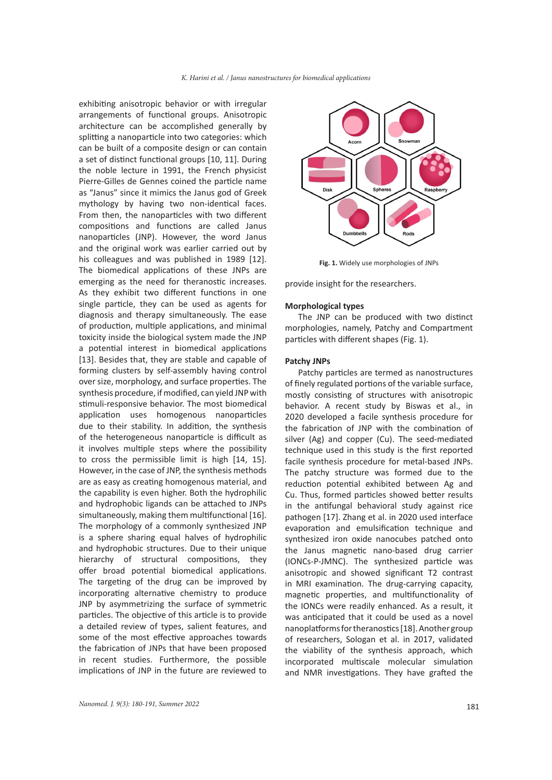exhibiting anisotropic behavior or with irregular arrangements of functional groups. Anisotropic architecture can be accomplished generally by splitting a nanoparticle into two categories: which can be built of a composite design or can contain a set of distinct functional groups [10, 11]. During the noble lecture in 1991, the French physicist Pierre-Gilles de Gennes coined the particle name as "Janus" since it mimics the Janus god of Greek mythology by having two non-identical faces. From then, the nanoparticles with two different compositions and functions are called Janus nanoparticles (JNP). However, the word Janus and the original work was earlier carried out by his colleagues and was published in 1989 [12]. The biomedical applications of these JNPs are emerging as the need for theranostic increases. As they exhibit two different functions in one single particle, they can be used as agents for diagnosis and therapy simultaneously. The ease of production, multiple applications, and minimal toxicity inside the biological system made the JNP a potential interest in biomedical applications [13]. Besides that, they are stable and capable of forming clusters by self-assembly having control over size, morphology, and surface properties. The synthesis procedure, if modified, can yield JNP with stimuli-responsive behavior. The most biomedical application uses homogenous nanoparticles due to their stability. In addition, the synthesis of the heterogeneous nanoparticle is difficult as it involves multiple steps where the possibility to cross the permissible limit is high [14, 15]. However, in the case of JNP, the synthesis methods are as easy as creating homogenous material, and the capability is even higher. Both the hydrophilic and hydrophobic ligands can be attached to JNPs simultaneously, making them multifunctional [16]. The morphology of a commonly synthesized JNP is a sphere sharing equal halves of hydrophilic and hydrophobic structures. Due to their unique hierarchy of structural compositions, they offer broad potential biomedical applications. The targeting of the drug can be improved by incorporating alternative chemistry to produce JNP by asymmetrizing the surface of symmetric particles. The objective of this article is to provide a detailed review of types, salient features, and some of the most effective approaches towards the fabrication of JNPs that have been proposed in recent studies. Furthermore, the possible implications of JNP in the future are reviewed to



**Fig. 1.** Widely use morphologies of JNPs

provide insight for the researchers.

#### **Morphological types**

The JNP can be produced with two distinct morphologies, namely, Patchy and Compartment particles with different shapes (Fig. 1).

### **Patchy JNPs**

Patchy particles are termed as nanostructures of finely regulated portions of the variable surface, mostly consisting of structures with anisotropic behavior. A recent study by Biswas et al., in 2020 developed a facile synthesis procedure for the fabrication of JNP with the combination of silver (Ag) and copper (Cu). The seed-mediated technique used in this study is the first reported facile synthesis procedure for metal-based JNPs. The patchy structure was formed due to the reduction potential exhibited between Ag and Cu. Thus, formed particles showed better results in the antifungal behavioral study against rice pathogen [17]. Zhang et al. in 2020 used interface evaporation and emulsification technique and synthesized iron oxide nanocubes patched onto the Janus magnetic nano-based drug carrier (IONCs-P-JMNC). The synthesized particle was anisotropic and showed significant T2 contrast in MRI examination. The drug-carrying capacity, magnetic properties, and multifunctionality of the IONCs were readily enhanced. As a result, it was anticipated that it could be used as a novel nanoplatforms for theranostics [18]. Another group of researchers, Sologan et al. in 2017, validated the viability of the synthesis approach, which incorporated multiscale molecular simulation and NMR investigations. They have grafted the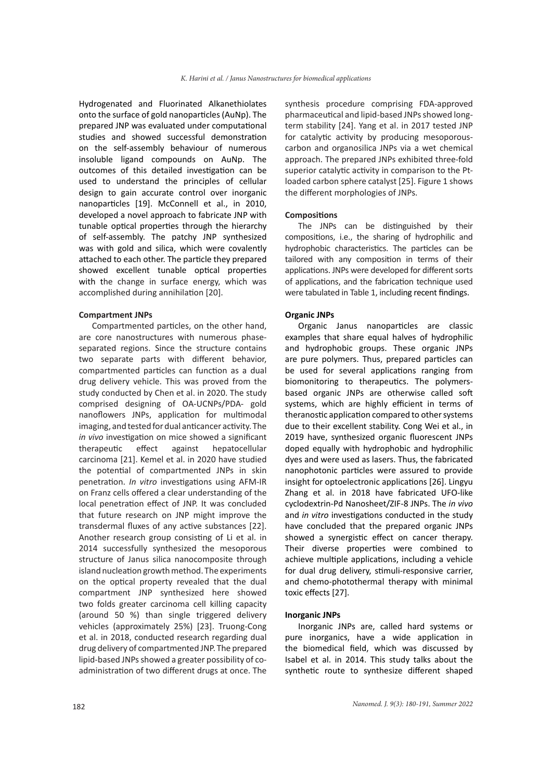Hydrogenated and Fluorinated Alkanethiolates onto the surface of gold nanoparticles (AuNp). The prepared JNP was evaluated under computational studies and showed successful demonstration on the self-assembly behaviour of numerous insoluble ligand compounds on AuNp. The outcomes of this detailed investigation can be used to understand the principles of cellular design to gain accurate control over inorganic nanoparticles [19]. McConnell et al., in 2010, developed a novel approach to fabricate JNP with tunable optical properties through the hierarchy of self-assembly. The patchy JNP synthesized was with gold and silica, which were covalently attached to each other. The particle they prepared showed excellent tunable optical properties with the change in surface energy, which was accomplished during annihilation [20].

#### **Compartment JNPs**

Compartmented particles, on the other hand, are core nanostructures with numerous phaseseparated regions. Since the structure contains two separate parts with different behavior, compartmented particles can function as a dual drug delivery vehicle. This was proved from the study conducted by Chen et al. in 2020. The study comprised designing of OA-UCNPs/PDA- gold nanoflowers JNPs, application for multimodal imaging, and tested for dual anticancer activity. The *in vivo* investigation on mice showed a significant therapeutic effect against hepatocellular carcinoma [21]. Kemel et al. in 2020 have studied the potential of compartmented JNPs in skin penetration. *In vitro* investigations using AFM-IR on Franz cells offered a clear understanding of the local penetration effect of JNP. It was concluded that future research on JNP might improve the transdermal fluxes of any active substances [22]. Another research group consisting of Li et al. in 2014 successfully synthesized the mesoporous structure of Janus silica nanocomposite through island nucleation growth method. The experiments on the optical property revealed that the dual compartment JNP synthesized here showed two folds greater carcinoma cell killing capacity (around 50 %) than single triggered delivery vehicles (approximately 25%) [23]. Truong-Cong et al. in 2018, conducted research regarding dual drug delivery of compartmented JNP. The prepared lipid-based JNPs showed a greater possibility of coadministration of two different drugs at once. The

synthesis procedure comprising FDA-approved pharmaceutical and lipid-based JNPs showed longterm stability [24]. Yang et al. in 2017 tested JNP for catalytic activity by producing mesoporouscarbon and organosilica JNPs via a wet chemical approach. The prepared JNPs exhibited three-fold superior catalytic activity in comparison to the Ptloaded carbon sphere catalyst [25]. Figure 1 shows the different morphologies of JNPs.

#### **Compositions**

The JNPs can be distinguished by their compositions, i.e., the sharing of hydrophilic and hydrophobic characteristics. The particles can be tailored with any composition in terms of their applications. JNPs were developed for different sorts of applications, and the fabrication technique used were tabulated in Table 1, including recent findings.

## **Organic JNPs**

Organic Janus nanoparticles are classic examples that share equal halves of hydrophilic and hydrophobic groups. These organic JNPs are pure polymers. Thus, prepared particles can be used for several applications ranging from biomonitoring to therapeutics. The polymersbased organic JNPs are otherwise called soft systems, which are highly efficient in terms of theranostic application compared to other systems due to their excellent stability. Cong Wei et al., in 2019 have, synthesized organic fluorescent JNPs doped equally with hydrophobic and hydrophilic dyes and were used as lasers. Thus, the fabricated nanophotonic particles were assured to provide insight for optoelectronic applications [26]. Lingyu Zhang et al. in 2018 have fabricated UFO-like cyclodextrin-Pd Nanosheet/ZIF-8 JNPs. The *in vivo* and *in vitro* investigations conducted in the study have concluded that the prepared organic JNPs showed a synergistic effect on cancer therapy. Their diverse properties were combined to achieve multiple applications, including a vehicle for dual drug delivery, stimuli-responsive carrier, and chemo-photothermal therapy with minimal toxic effects [27].

#### **Inorganic JNPs**

Inorganic JNPs are, called hard systems or pure inorganics, have a wide application in the biomedical field, which was discussed by Isabel et al. in 2014. This study talks about the synthetic route to synthesize different shaped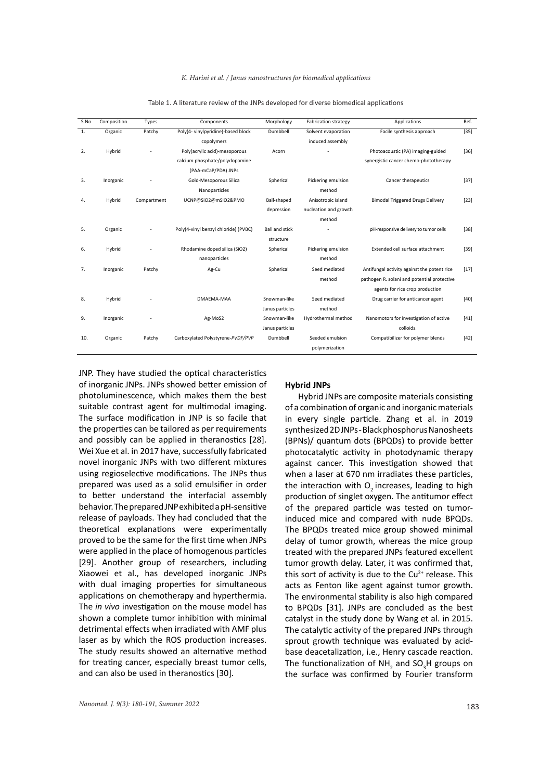| S.No | Composition | Types       | Components                           | Morphology            | <b>Fabrication strategy</b> | Applications                                | Ref.   |
|------|-------------|-------------|--------------------------------------|-----------------------|-----------------------------|---------------------------------------------|--------|
| 1.   | Organic     | Patchy      | Poly(4- vinylpyridine)-based block   | Dumbbell              | Solvent evaporation         | Facile synthesis approach                   | $[35]$ |
|      |             |             | copolymers                           |                       | induced assembly            |                                             |        |
| 2.   | Hybrid      |             | Poly(acrylic acid)-mesoporous        | Acorn                 |                             | Photoacoustic (PA) imaging-guided           | $[36]$ |
|      |             |             | calcium phosphate/polydopamine       |                       |                             | synergistic cancer chemo-phototherapy       |        |
|      |             |             | (PAA-mCaP/PDA) JNPs                  |                       |                             |                                             |        |
| 3.   | Inorganic   |             | Gold-Mesoporous Silica               | Spherical             | Pickering emulsion          | Cancer therapeutics                         | $[37]$ |
|      |             |             | Nanoparticles                        |                       | method                      |                                             |        |
| 4.   | Hybrid      | Compartment | UCNP@SiO2@mSiO2&PMO                  | Ball-shaped           | Anisotropic island          | <b>Bimodal Triggered Drugs Delivery</b>     | $[23]$ |
|      |             |             |                                      | depression            | nucleation and growth       |                                             |        |
|      |             |             |                                      |                       | method                      |                                             |        |
| 5.   | Organic     |             | Poly(4-vinyl benzyl chloride) (PVBC) | <b>Ball and stick</b> |                             | pH-responsive delivery to tumor cells       | $[38]$ |
|      |             |             |                                      | structure             |                             |                                             |        |
| 6.   | Hybrid      |             | Rhodamine doped silica (SiO2)        | Spherical             | Pickering emulsion          | Extended cell surface attachment            | $[39]$ |
|      |             |             | nanoparticles                        |                       | method                      |                                             |        |
| 7.   | Inorganic   | Patchy      | Ag-Cu                                | Spherical             | Seed mediated               | Antifungal activity against the potent rice | $[17]$ |
|      |             |             |                                      |                       | method                      | pathogen R. solani and potential protective |        |
|      |             |             |                                      |                       |                             | agents for rice crop production             |        |
| 8.   | Hybrid      |             | DMAEMA-MAA                           | Snowman-like          | Seed mediated               | Drug carrier for anticancer agent           | $[40]$ |
|      |             |             |                                      | Janus particles       | method                      |                                             |        |
| 9.   | Inorganic   |             | Ag-MoS2                              | Snowman-like          | Hydrothermal method         | Nanomotors for investigation of active      | $[41]$ |
|      |             |             |                                      | Janus particles       |                             | colloids.                                   |        |
| 10.  | Organic     | Patchy      | Carboxylated Polystyrene-PVDF/PVP    | Dumbbell              | Seeded emulsion             | Compatibilizer for polymer blends           | $[42]$ |
|      |             |             |                                      |                       | polymerization              |                                             |        |

| Table 1. A literature review of the JNPs developed for diverse biomedical applications |  |
|----------------------------------------------------------------------------------------|--|
|----------------------------------------------------------------------------------------|--|

JNP. They have studied the optical characteristics of inorganic JNPs. JNPs showed better emission of photoluminescence, which makes them the best suitable contrast agent for multimodal imaging. The surface modification in JNP is so facile that the properties can be tailored as per requirements and possibly can be applied in theranostics [28]. Wei Xue et al. in 2017 have, successfully fabricated novel inorganic JNPs with two different mixtures using regioselective modifications. The JNPs thus prepared was used as a solid emulsifier in order to better understand the interfacial assembly behavior. The prepared JNP exhibited a pH-sensitive release of payloads. They had concluded that the theoretical explanations were experimentally proved to be the same for the first time when JNPs were applied in the place of homogenous particles [29]. Another group of researchers, including Xiaowei et al., has developed inorganic JNPs with dual imaging properties for simultaneous applications on chemotherapy and hyperthermia. The *in vivo* investigation on the mouse model has shown a complete tumor inhibition with minimal detrimental effects when irradiated with AMF plus laser as by which the ROS production increases. The study results showed an alternative method for treating cancer, especially breast tumor cells, and can also be used in theranostics [30].

#### **Hybrid JNPs**

Hybrid JNPs are composite materials consisting of a combination of organic and inorganic materials in every single particle. Zhang et al. in 2019 synthesized 2D JNPs - Black phosphorus Nanosheets (BPNs)/ quantum dots (BPQDs) to provide better photocatalytic activity in photodynamic therapy against cancer. This investigation showed that when a laser at 670 nm irradiates these particles, the interaction with  $O<sub>2</sub>$  increases, leading to high production of singlet oxygen. The antitumor effect of the prepared particle was tested on tumorinduced mice and compared with nude BPQDs. The BPQDs treated mice group showed minimal delay of tumor growth, whereas the mice group treated with the prepared JNPs featured excellent tumor growth delay. Later, it was confirmed that, this sort of activity is due to the  $Cu<sup>2+</sup>$  release. This acts as Fenton like agent against tumor growth. The environmental stability is also high compared to BPQDs [31]. JNPs are concluded as the best catalyst in the study done by Wang et al. in 2015. The catalytic activity of the prepared JNPs through sprout growth technique was evaluated by acidbase deacetalization, i.e., Henry cascade reaction. The functionalization of NH<sub>2</sub> and SO<sub>3</sub>H groups on the surface was confirmed by Fourier transform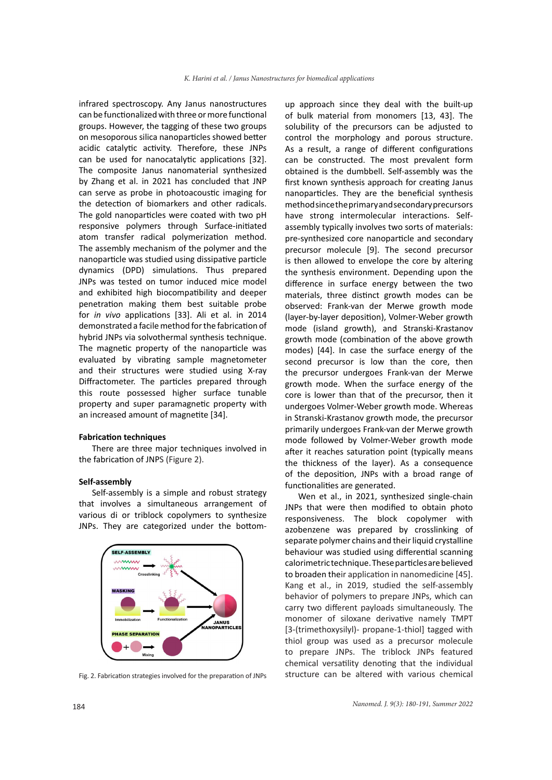infrared spectroscopy. Any Janus nanostructures can be functionalized with three or more functional groups. However, the tagging of these two groups on mesoporous silica nanoparticles showed better acidic catalytic activity. Therefore, these JNPs can be used for nanocatalytic applications [32]. The composite Janus nanomaterial synthesized by Zhang et al. in 2021 has concluded that JNP can serve as probe in photoacoustic imaging for the detection of biomarkers and other radicals. The gold nanoparticles were coated with two pH responsive polymers through Surface-initiated atom transfer radical polymerization method. The assembly mechanism of the polymer and the nanoparticle was studied using dissipative particle dynamics (DPD) simulations. Thus prepared JNPs was tested on tumor induced mice model and exhibited high biocompatibility and deeper penetration making them best suitable probe for *in vivo* applications [33]. Ali et al. in 2014 demonstrated a facile method for the fabrication of hybrid JNPs via solvothermal synthesis technique. The magnetic property of the nanoparticle was evaluated by vibrating sample magnetometer and their structures were studied using X-ray Diffractometer. The particles prepared through this route possessed higher surface tunable property and super paramagnetic property with an increased amount of magnetite [34].

#### **Fabrication techniques**

There are three major techniques involved in the fabrication of JNPS (Figure 2).

### **Self-assembly**

Self-assembly is a simple and robust strategy that involves a simultaneous arrangement of various di or triblock copolymers to synthesize JNPs. They are categorized under the bottom-



up approach since they deal with the built-up of bulk material from monomers [13, 43]. The solubility of the precursors can be adjusted to control the morphology and porous structure. As a result, a range of different configurations can be constructed. The most prevalent form obtained is the dumbbell. Self-assembly was the first known synthesis approach for creating Janus nanoparticles. They are the beneficial synthesis methodsince the primary and secondary precursors have strong intermolecular interactions. Selfassembly typically involves two sorts of materials: pre-synthesized core nanoparticle and secondary precursor molecule [9]. The second precursor is then allowed to envelope the core by altering the synthesis environment. Depending upon the difference in surface energy between the two materials, three distinct growth modes can be observed: Frank-van der Merwe growth mode (layer-by-layer deposition), Volmer-Weber growth mode (island growth), and Stranski-Krastanov growth mode (combination of the above growth modes) [44]. In case the surface energy of the second precursor is low than the core, then the precursor undergoes Frank-van der Merwe growth mode. When the surface energy of the core is lower than that of the precursor, then it undergoes Volmer-Weber growth mode. Whereas in Stranski-Krastanov growth mode, the precursor primarily undergoes Frank-van der Merwe growth mode followed by Volmer-Weber growth mode after it reaches saturation point (typically means the thickness of the layer). As a consequence of the deposition, JNPs with a broad range of functionalities are generated.

Wen et al., in 2021, synthesized single-chain JNPs that were then modified to obtain photo responsiveness. The block copolymer with azobenzene was prepared by crosslinking of separate polymer chains and their liquid crystalline behaviour was studied using differential scanning calorimetric technique. These particles are believed to broaden their application in nanomedicine [45]. Kang et al., in 2019, studied the self-assembly behavior of polymers to prepare JNPs, which can carry two different payloads simultaneously. The monomer of siloxane derivative namely TMPT [3-(trimethoxysilyl)- propane-1-thiol] tagged with thiol group was used as a precursor molecule to prepare JNPs. The triblock JNPs featured chemical versatility denoting that the individual Fig. 2. Fabrication strategies involved for the preparation of JNPs structure can be altered with various chemical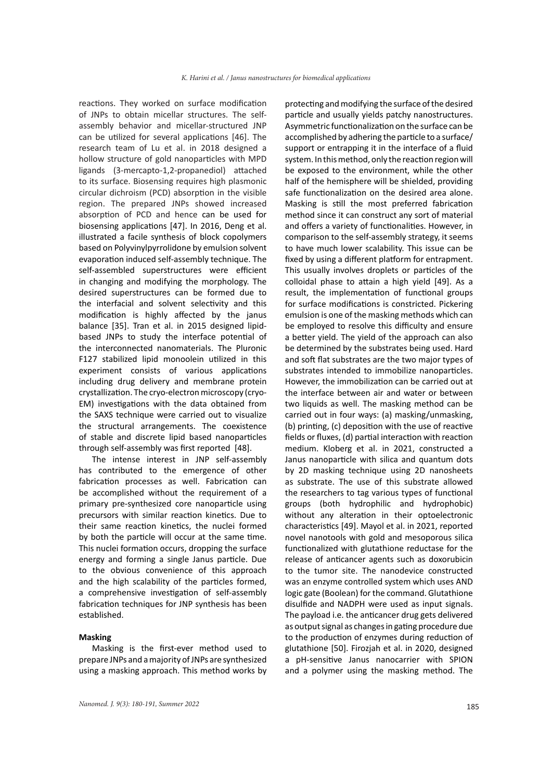reactions. They worked on surface modification of JNPs to obtain micellar structures. The selfassembly behavior and micellar-structured JNP can be utilized for several applications [46]. The research team of Lu et al. in 2018 designed a hollow structure of gold nanoparticles with MPD ligands (3-mercapto-1,2-propanediol) attached to its surface. Biosensing requires high plasmonic circular dichroism (PCD) absorption in the visible region. The prepared JNPs showed increased absorption of PCD and hence can be used for biosensing applications [47]. In 2016, Deng et al. illustrated a facile synthesis of block copolymers based on Polyvinylpyrrolidone by emulsion solvent evaporation induced self-assembly technique. The self-assembled superstructures were efficient in changing and modifying the morphology. The desired superstructures can be formed due to the interfacial and solvent selectivity and this modification is highly affected by the janus balance [35]. Tran et al. in 2015 designed lipidbased JNPs to study the interface potential of the interconnected nanomaterials. The Pluronic F127 stabilized lipid monoolein utilized in this experiment consists of various applications including drug delivery and membrane protein crystallization. The cryo-electron microscopy (cryo-EM) investigations with the data obtained from the SAXS technique were carried out to visualize the structural arrangements. The coexistence of stable and discrete lipid based nanoparticles through self-assembly was first reported [48].

The intense interest in JNP self-assembly has contributed to the emergence of other fabrication processes as well. Fabrication can be accomplished without the requirement of a primary pre-synthesized core nanoparticle using precursors with similar reaction kinetics. Due to their same reaction kinetics, the nuclei formed by both the particle will occur at the same time. This nuclei formation occurs, dropping the surface energy and forming a single Janus particle. Due to the obvious convenience of this approach and the high scalability of the particles formed, a comprehensive investigation of self-assembly fabrication techniques for JNP synthesis has been established.

## **Masking**

Masking is the first-ever method used to prepare JNPs and a majority of JNPs are synthesized using a masking approach. This method works by

protecting and modifying the surface of the desired particle and usually yields patchy nanostructures. Asymmetric functionalization on the surface can be accomplished by adhering the particle to a surface/ support or entrapping it in the interface of a fluid system. In this method, only the reaction region will be exposed to the environment, while the other half of the hemisphere will be shielded, providing safe functionalization on the desired area alone. Masking is still the most preferred fabrication method since it can construct any sort of material and offers a variety of functionalities. However, in comparison to the self-assembly strategy, it seems to have much lower scalability. This issue can be fixed by using a different platform for entrapment. This usually involves droplets or particles of the colloidal phase to attain a high yield [49]. As a result, the implementation of functional groups for surface modifications is constricted. Pickering emulsion is one of the masking methods which can be employed to resolve this difficulty and ensure a better yield. The yield of the approach can also be determined by the substrates being used. Hard and soft flat substrates are the two major types of substrates intended to immobilize nanoparticles. However, the immobilization can be carried out at the interface between air and water or between two liquids as well. The masking method can be carried out in four ways: (a) masking/unmasking, (b) printing, (c) deposition with the use of reactive fields or fluxes, (d) partial interaction with reaction medium. Kloberg et al. in 2021, constructed a Janus nanoparticle with silica and quantum dots by 2D masking technique using 2D nanosheets as substrate. The use of this substrate allowed the researchers to tag various types of functional groups (both hydrophilic and hydrophobic) without any alteration in their optoelectronic characteristics [49]. Mayol et al. in 2021, reported novel nanotools with gold and mesoporous silica functionalized with glutathione reductase for the release of anticancer agents such as doxorubicin to the tumor site. The nanodevice constructed was an enzyme controlled system which uses AND logic gate (Boolean) for the command. Glutathione disulfide and NADPH were used as input signals. The payload i.e. the anticancer drug gets delivered as output signal as changes in gating procedure due to the production of enzymes during reduction of glutathione [50]. Firozjah et al. in 2020, designed a pH-sensitive Janus nanocarrier with SPION and a polymer using the masking method. The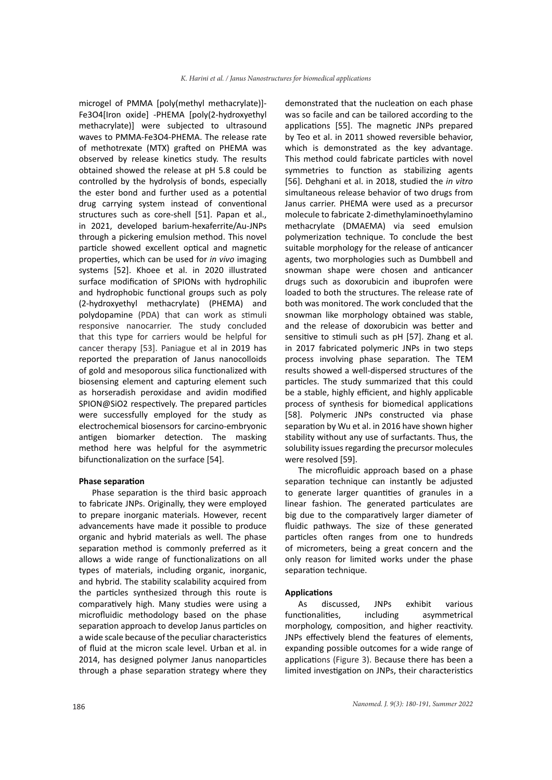microgel of PMMA [poly(methyl methacrylate)]- Fe3O4[Iron oxide] -PHEMA [poly(2-hydroxyethyl methacrylate)] were subjected to ultrasound waves to PMMA-Fe3O4-PHEMA. The release rate of methotrexate (MTX) grafted on PHEMA was observed by release kinetics study. The results obtained showed the release at pH 5.8 could be controlled by the hydrolysis of bonds, especially the ester bond and further used as a potential drug carrying system instead of conventional structures such as core-shell [51]. Papan et al., in 2021, developed barium-hexaferrite/Au-JNPs through a pickering emulsion method. This novel particle showed excellent optical and magnetic properties, which can be used for *in vivo* imaging systems [52]. Khoee et al. in 2020 illustrated surface modification of SPIONs with hydrophilic and hydrophobic functional groups such as poly (2-hydroxyethyl methacrylate) (PHEMA) and polydopamine (PDA) that can work as stimuli responsive nanocarrier. The study concluded that this type for carriers would be helpful for cancer therapy [53]. Paniague et al in 2019 has reported the preparation of Janus nanocolloids of gold and mesoporous silica functionalized with biosensing element and capturing element such as horseradish peroxidase and avidin modified SPION@SiO2 respectively. The prepared particles were successfully employed for the study as electrochemical biosensors for carcino-embryonic antigen biomarker detection. The masking method here was helpful for the asymmetric bifunctionalization on the surface [54].

#### **Phase separation**

Phase separation is the third basic approach to fabricate JNPs. Originally, they were employed to prepare inorganic materials. However, recent advancements have made it possible to produce organic and hybrid materials as well. The phase separation method is commonly preferred as it allows a wide range of functionalizations on all types of materials, including organic, inorganic, and hybrid. The stability scalability acquired from the particles synthesized through this route is comparatively high. Many studies were using a microfluidic methodology based on the phase separation approach to develop Janus particles on a wide scale because of the peculiar characteristics of fluid at the micron scale level. Urban et al. in 2014, has designed polymer Janus nanoparticles through a phase separation strategy where they

demonstrated that the nucleation on each phase was so facile and can be tailored according to the applications [55]. The magnetic JNPs prepared by Teo et al. in 2011 showed reversible behavior, which is demonstrated as the key advantage. This method could fabricate particles with novel symmetries to function as stabilizing agents [56]. Dehghani et al. in 2018, studied the *in vitro* simultaneous release behavior of two drugs from Janus carrier. PHEMA were used as a precursor molecule to fabricate 2-dimethylaminoethylamino methacrylate (DMAEMA) via seed emulsion polymerization technique. To conclude the best suitable morphology for the release of anticancer agents, two morphologies such as Dumbbell and snowman shape were chosen and anticancer drugs such as doxorubicin and ibuprofen were loaded to both the structures. The release rate of both was monitored. The work concluded that the snowman like morphology obtained was stable, and the release of doxorubicin was better and sensitive to stimuli such as pH [57]. Zhang et al. in 2017 fabricated polymeric JNPs in two steps process involving phase separation. The TEM results showed a well-dispersed structures of the particles. The study summarized that this could be a stable, highly efficient, and highly applicable process of synthesis for biomedical applications [58]. Polymeric JNPs constructed via phase separation by Wu et al. in 2016 have shown higher stability without any use of surfactants. Thus, the solubility issues regarding the precursor molecules were resolved [59].

The microfluidic approach based on a phase separation technique can instantly be adjusted to generate larger quantities of granules in a linear fashion. The generated particulates are big due to the comparatively larger diameter of fluidic pathways. The size of these generated particles often ranges from one to hundreds of micrometers, being a great concern and the only reason for limited works under the phase separation technique.

## **Applications**

As discussed, JNPs exhibit various functionalities, including asymmetrical morphology, composition, and higher reactivity. JNPs effectively blend the features of elements, expanding possible outcomes for a wide range of applications (Figure 3). Because there has been a limited investigation on JNPs, their characteristics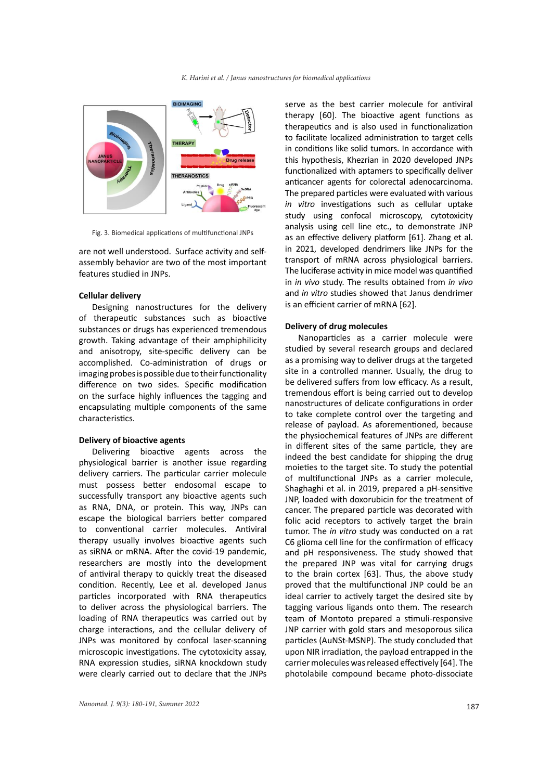

Fig. 3. Biomedical applications of multifunctional JNPs

are not well understood. Surface activity and selfassembly behavior are two of the most important features studied in JNPs.

#### **Cellular delivery**

Designing nanostructures for the delivery of therapeutic substances such as bioactive substances or drugs has experienced tremendous growth. Taking advantage of their amphiphilicity and anisotropy, site-specific delivery can be accomplished. Co-administration of drugs or imaging probes is possible due to their functionality difference on two sides. Specific modification on the surface highly influences the tagging and encapsulating multiple components of the same characteristics.

## **Delivery of bioactive agents**

Delivering bioactive agents across the physiological barrier is another issue regarding delivery carriers. The particular carrier molecule must possess better endosomal escape to successfully transport any bioactive agents such as RNA, DNA, or protein. This way, JNPs can escape the biological barriers better compared to conventional carrier molecules. Antiviral therapy usually involves bioactive agents such as siRNA or mRNA. After the covid-19 pandemic, researchers are mostly into the development of antiviral therapy to quickly treat the diseased condition. Recently, Lee et al. developed Janus particles incorporated with RNA therapeutics to deliver across the physiological barriers. The loading of RNA therapeutics was carried out by charge interactions, and the cellular delivery of JNPs was monitored by confocal laser-scanning microscopic investigations. The cytotoxicity assay, RNA expression studies, siRNA knockdown study were clearly carried out to declare that the JNPs

serve as the best carrier molecule for antiviral therapy [60]. The bioactive agent functions as therapeutics and is also used in functionalization to facilitate localized administration to target cells in conditions like solid tumors. In accordance with this hypothesis, Khezrian in 2020 developed JNPs functionalized with aptamers to specifically deliver anticancer agents for colorectal adenocarcinoma. The prepared particles were evaluated with various *in vitro* investigations such as cellular uptake study using confocal microscopy, cytotoxicity analysis using cell line etc., to demonstrate JNP as an effective delivery platform [61]. Zhang et al. in 2021, developed dendrimers like JNPs for the transport of mRNA across physiological barriers. The luciferase activity in mice model was quantified in *in vivo* study. The results obtained from *in vivo* and *in vitro* studies showed that Janus dendrimer is an efficient carrier of mRNA [62].

#### **Delivery of drug molecules**

Nanoparticles as a carrier molecule were studied by several research groups and declared as a promising way to deliver drugs at the targeted site in a controlled manner. Usually, the drug to be delivered suffers from low efficacy. As a result, tremendous effort is being carried out to develop nanostructures of delicate configurations in order to take complete control over the targeting and release of payload. As aforementioned, because the physiochemical features of JNPs are different in different sites of the same particle, they are indeed the best candidate for shipping the drug moieties to the target site. To study the potential of multifunctional JNPs as a carrier molecule, Shaghaghi et al. in 2019, prepared a pH-sensitive JNP, loaded with doxorubicin for the treatment of cancer. The prepared particle was decorated with folic acid receptors to actively target the brain tumor. The *in vitro* study was conducted on a rat C6 glioma cell line for the confirmation of efficacy and pH responsiveness. The study showed that the prepared JNP was vital for carrying drugs to the brain cortex [63]. Thus, the above study proved that the multifunctional JNP could be an ideal carrier to actively target the desired site by tagging various ligands onto them. The research team of Montoto prepared a stimuli-responsive JNP carrier with gold stars and mesoporous silica particles (AuNSt-MSNP). The study concluded that upon NIR irradiation, the payload entrapped in the carrier molecules was released effectively [64]. The photolabile compound became photo-dissociate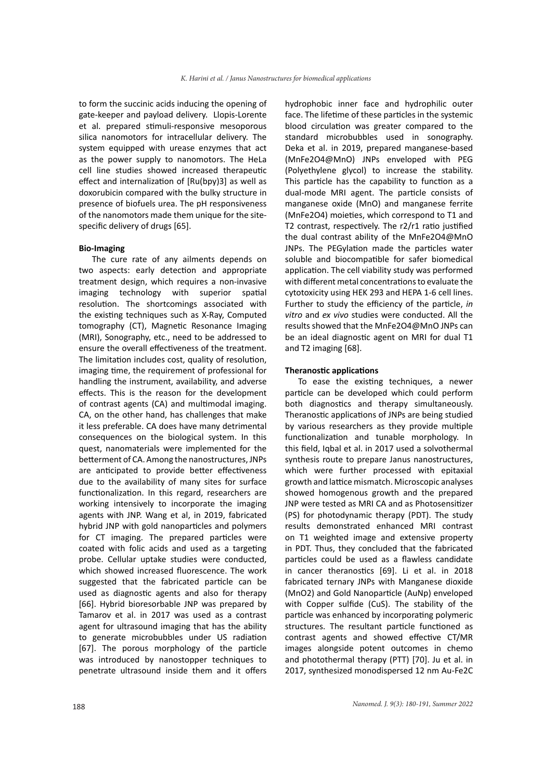to form the succinic acids inducing the opening of gate-keeper and payload delivery. Llopis-Lorente et al. prepared stimuli-responsive mesoporous silica nanomotors for intracellular delivery. The system equipped with urease enzymes that act as the power supply to nanomotors. The HeLa cell line studies showed increased therapeutic effect and internalization of [Ru(bpy)3] as well as doxorubicin compared with the bulky structure in presence of biofuels urea. The pH responsiveness of the nanomotors made them unique for the sitespecific delivery of drugs [65].

#### **Bio-Imaging**

The cure rate of any ailments depends on two aspects: early detection and appropriate treatment design, which requires a non-invasive imaging technology with superior spatial resolution. The shortcomings associated with the existing techniques such as X-Ray, Computed tomography (CT), Magnetic Resonance Imaging (MRI), Sonography, etc., need to be addressed to ensure the overall effectiveness of the treatment. The limitation includes cost, quality of resolution, imaging time, the requirement of professional for handling the instrument, availability, and adverse effects. This is the reason for the development of contrast agents (CA) and multimodal imaging. CA, on the other hand, has challenges that make it less preferable. CA does have many detrimental consequences on the biological system. In this quest, nanomaterials were implemented for the betterment of CA. Among the nanostructures, JNPs are anticipated to provide better effectiveness due to the availability of many sites for surface functionalization. In this regard, researchers are working intensively to incorporate the imaging agents with JNP. Wang et al, in 2019, fabricated hybrid JNP with gold nanoparticles and polymers for CT imaging. The prepared particles were coated with folic acids and used as a targeting probe. Cellular uptake studies were conducted, which showed increased fluorescence. The work suggested that the fabricated particle can be used as diagnostic agents and also for therapy [66]. Hybrid bioresorbable JNP was prepared by Tamarov et al. in 2017 was used as a contrast agent for ultrasound imaging that has the ability to generate microbubbles under US radiation [67]. The porous morphology of the particle was introduced by nanostopper techniques to penetrate ultrasound inside them and it offers

hydrophobic inner face and hydrophilic outer face. The lifetime of these particles in the systemic blood circulation was greater compared to the standard microbubbles used in sonography. Deka et al. in 2019, prepared manganese-based (MnFe2O4@MnO) JNPs enveloped with PEG (Polyethylene glycol) to increase the stability. This particle has the capability to function as a dual-mode MRI agent. The particle consists of manganese oxide (MnO) and manganese ferrite (MnFe2O4) moieties, which correspond to T1 and T2 contrast, respectively. The r2/r1 ratio justified the dual contrast ability of the MnFe2O4@MnO JNPs. The PEGylation made the particles water soluble and biocompatible for safer biomedical application. The cell viability study was performed with different metal concentrations to evaluate the cytotoxicity using HEK 293 and HEPA 1-6 cell lines. Further to study the efficiency of the particle, *in vitro* and *ex vivo* studies were conducted. All the results showed that the MnFe2O4@MnO JNPs can be an ideal diagnostic agent on MRI for dual T1 and T2 imaging [68].

## **Theranostic applications**

To ease the existing techniques, a newer particle can be developed which could perform both diagnostics and therapy simultaneously. Theranostic applications of JNPs are being studied by various researchers as they provide multiple functionalization and tunable morphology. In this field, Iqbal et al. in 2017 used a solvothermal synthesis route to prepare Janus nanostructures, which were further processed with epitaxial growth and lattice mismatch. Microscopic analyses showed homogenous growth and the prepared JNP were tested as MRI CA and as Photosensitizer (PS) for photodynamic therapy (PDT). The study results demonstrated enhanced MRI contrast on T1 weighted image and extensive property in PDT. Thus, they concluded that the fabricated particles could be used as a flawless candidate in cancer theranostics [69]. Li et al. in 2018 fabricated ternary JNPs with Manganese dioxide (MnO2) and Gold Nanoparticle (AuNp) enveloped with Copper sulfide (CuS). The stability of the particle was enhanced by incorporating polymeric structures. The resultant particle functioned as contrast agents and showed effective CT/MR images alongside potent outcomes in chemo and photothermal therapy (PTT) [70]. Ju et al. in 2017, synthesized monodispersed 12 nm Au-Fe2C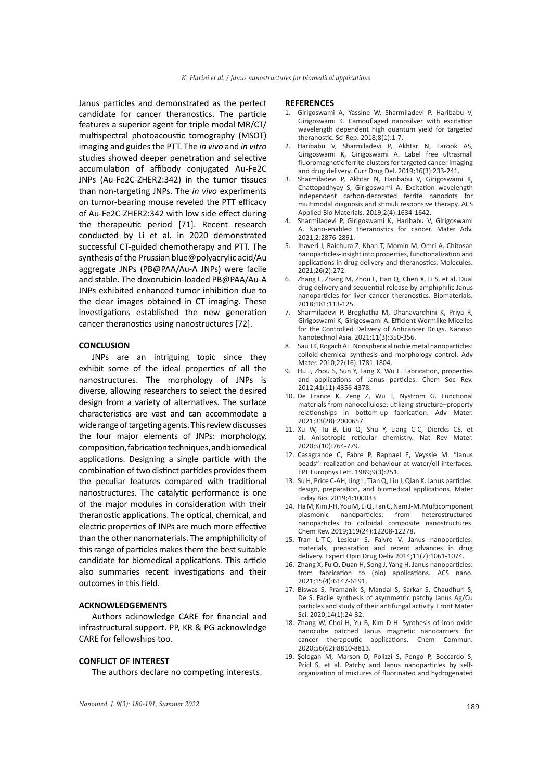Janus particles and demonstrated as the perfect candidate for cancer theranostics. The particle features a superior agent for triple modal MR/CT/ multispectral photoacoustic tomography (MSOT) imaging and guides the PTT. The *in vivo* and *in vitro* studies showed deeper penetration and selective accumulation of affibody conjugated Au-Fe2C JNPs (Au-Fe2C-ZHER2:342) in the tumor tissues than non-targeting JNPs. The *in vivo* experiments on tumor-bearing mouse reveled the PTT efficacy of Au-Fe2C-ZHER2:342 with low side effect during the therapeutic period [71]. Recent research conducted by Li et al. in 2020 demonstrated successful CT-guided chemotherapy and PTT. The synthesis of the Prussian blue@polyacrylic acid/Au aggregate JNPs (PB@PAA/Au-A JNPs) were facile and stable. The doxorubicin-loaded PB@PAA/Au-A JNPs exhibited enhanced tumor inhibition due to the clear images obtained in CT imaging. These investigations established the new generation cancer theranostics using nanostructures [72].

#### **CONCLUSION**

JNPs are an intriguing topic since they exhibit some of the ideal properties of all the nanostructures. The morphology of JNPs is diverse, allowing researchers to select the desired design from a variety of alternatives. The surface characteristics are vast and can accommodate a wide range of targeting agents. This review discusses the four major elements of JNPs: morphology, composition, fabrication techniques, and biomedical applications. Designing a single particle with the combination of two distinct particles provides them the peculiar features compared with traditional nanostructures. The catalytic performance is one of the major modules in consideration with their theranostic applications. The optical, chemical, and electric properties of JNPs are much more effective than the other nanomaterials. The amphiphilicity of this range of particles makes them the best suitable candidate for biomedical applications. This article also summaries recent investigations and their outcomes in this field.

#### **ACKNOWLEDGEMENTS**

Authors acknowledge CARE for financial and infrastructural support. PP, KR & PG acknowledge CARE for fellowships too.

#### **CONFLICT OF INTEREST**

The authors declare no competing interests.

#### **REFERENCES**

- 1. Girigoswami A, Yassine W, Sharmiladevi P, Haribabu V, Girigoswami K. Camouflaged nanosilver with excitation wavelength dependent high quantum yield for targeted theranostic. Sci Rep. 2018;8(1):1-7.
- 2. Haribabu V, Sharmiladevi P, Akhtar N, Farook AS, Girigoswami K, Girigoswami A. Label free ultrasmall fluoromagnetic ferrite-clusters for targeted cancer imaging and drug delivery. Curr Drug Del. 2019;16(3):233-241.
- 3. Sharmiladevi P, Akhtar N, Haribabu V, Girigoswami K, Chattopadhyay S, Girigoswami A. Excitation wavelength independent carbon-decorated ferrite nanodots for multimodal diagnosis and stimuli responsive therapy. ACS Applied Bio Materials. 2019;2(4):1634-1642.
- 4. Sharmiladevi P, Girigoswami K, Haribabu V, Girigoswami A. Nano-enabled theranostics for cancer. Mater Adv. 2021;2:2876-2891.
- 5. Jhaveri J, Raichura Z, Khan T, Momin M, Omri A. Chitosan nanoparticles-insight into properties, functionalization and applications in drug delivery and theranostics. Molecules. 2021;26(2):272.
- 6. Zhang L, Zhang M, Zhou L, Han Q, Chen X, Li S, et al. Dual drug delivery and sequential release by amphiphilic Janus nanoparticles for liver cancer theranostics. Biomaterials. 2018;181:113-125.
- 7. Sharmiladevi P, Breghatha M, Dhanavardhini K, Priya R, Girigoswami K, Girigoswami A. Efficient Wormlike Micelles for the Controlled Delivery of Anticancer Drugs. Nanosci Nanotechnol Asia. 2021;11(3):350-356.
- 8. Sau TK, Rogach AL. Nonspherical noble metal nanoparticles: colloid‐chemical synthesis and morphology control. Adv Mater. 2010;22(16):1781-1804.
- 9. Hu J, Zhou S, Sun Y, Fang X, Wu L. Fabrication, properties and applications of Janus particles. Chem Soc Rev. 2012;41(11):4356-4378.
- 10. De France K, Zeng Z, Wu T, Nyström G. Functional materials from nanocellulose: utilizing structure–property relationships in bottom‐up fabrication. Adv Mater. 2021;33(28):2000657.
- 11. Xu W, Tu B, Liu Q, Shu Y, Liang C-C, Diercks CS, et al. Anisotropic reticular chemistry. Nat Rev Mater. 2020;5(10):764-779.
- 12. Casagrande C, Fabre P, Raphael E, Veyssié M. "Janus beads": realization and behaviour at water/oil interfaces. EPL Europhys Lett. 1989;9(3):251.
- 13. Su H, Price C-AH, Jing L, Tian Q, Liu J, Qian K. Janus particles: design, preparation, and biomedical applications. Mater Today Bio. 2019;4:100033.
- 14. Ha M, Kim J-H, You M, Li Q, Fan C, Nam J-M. Multicomponent plasmonic nanoparticles: from heterostructured nanoparticles to colloidal composite nanostructures. Chem Rev. 2019;119(24):12208-12278.
- 15. Tran L-T-C, Lesieur S, Faivre V. Janus nanoparticles: materials, preparation and recent advances in drug delivery. Expert Opin Drug Deliv 2014;11(7):1061-1074.
- 16. Zhang X, Fu Q, Duan H, Song J, Yang H. Janus nanoparticles: from fabrication to (bio) applications. ACS nano. 2021;15(4):6147-6191.
- 17. Biswas S, Pramanik S, Mandal S, Sarkar S, Chaudhuri S, De S. Facile synthesis of asymmetric patchy Janus Ag/Cu particles and study of their antifungal activity. Front Mater Sci. 2020;14(1):24-32.
- 18. Zhang W, Choi H, Yu B, Kim D-H. Synthesis of iron oxide nanocube patched Janus magnetic nanocarriers for cancer therapeutic applications. Chem Commun. 2020;56(62):8810-8813.
- 19. Şologan M, Marson D, Polizzi S, Pengo P, Boccardo S, Pricl S, et al. Patchy and Janus nanoparticles by selforganization of mixtures of fluorinated and hydrogenated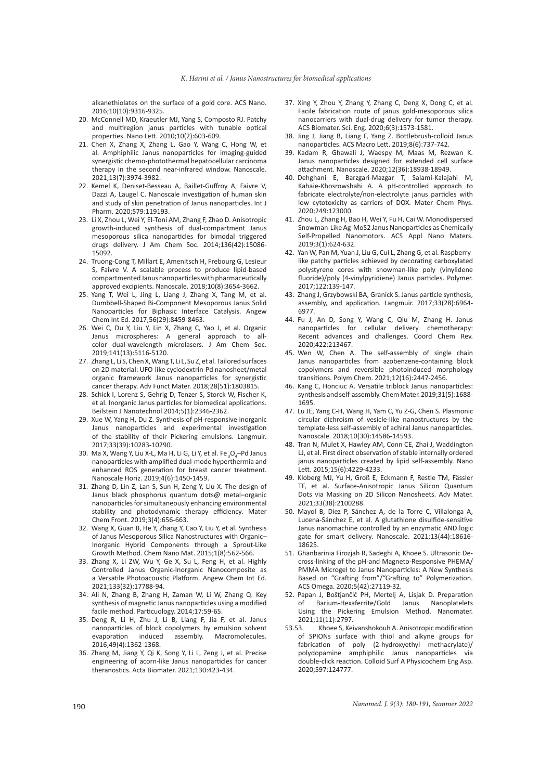alkanethiolates on the surface of a gold core. ACS Nano. 2016;10(10):9316-9325.

- 20. McConnell MD, Kraeutler MJ, Yang S, Composto RJ. Patchy and multiregion janus particles with tunable optical properties. Nano Lett. 2010;10(2):603-609.
- 21. Chen X, Zhang X, Zhang L, Gao Y, Wang C, Hong W, et al. Amphiphilic Janus nanoparticles for imaging-guided synergistic chemo-photothermal hepatocellular carcinoma therapy in the second near-infrared window. Nanoscale. 2021;13(7):3974-3982.
- 22. Kemel K, Deniset-Besseau A, Baillet-Guffroy A, Faivre V, Dazzi A, Laugel C. Nanoscale investigation of human skin and study of skin penetration of Janus nanoparticles. Int J Pharm. 2020;579:119193.
- 23. Li X, Zhou L, Wei Y, El-Toni AM, Zhang F, Zhao D. Anisotropic growth-induced synthesis of dual-compartment Janus mesoporous silica nanoparticles for bimodal triggered drugs delivery. J Am Chem Soc. 2014;136(42):15086- 15092.
- 24. Truong-Cong T, Millart E, Amenitsch H, Frebourg G, Lesieur S, Faivre V. A scalable process to produce lipid-based compartmented Janus nanoparticles with pharmaceutically approved excipients. Nanoscale. 2018;10(8):3654-3662.
- 25. Yang T, Wei L, Jing L, Liang J, Zhang X, Tang M, et al. Dumbbell‐Shaped Bi‐Component Mesoporous Janus Solid Nanoparticles for Biphasic Interface Catalysis. Angew Chem Int Ed. 2017;56(29):8459-8463.
- 26. Wei C, Du Y, Liu Y, Lin X, Zhang C, Yao J, et al. Organic Janus microspheres: A general approach to allcolor dual-wavelength microlasers. J Am Chem Soc. 2019;141(13):5116-5120.
- 27. Zhang L, Li S, Chen X, Wang T, Li L, Su Z, et al. Tailored surfaces on 2D material: UFO‐like cyclodextrin‐Pd nanosheet/metal organic framework Janus nanoparticles for synergistic cancer therapy. Adv Funct Mater. 2018;28(51):1803815.
- 28. Schick I, Lorenz S, Gehrig D, Tenzer S, Storck W, Fischer K, et al. Inorganic Janus particles for biomedical applications. Beilstein J Nanotechnol 2014;5(1):2346-2362.
- 29. Xue W, Yang H, Du Z. Synthesis of pH-responsive inorganic Janus nanoparticles and experimental investigation of the stability of their Pickering emulsions. Langmuir. 2017;33(39):10283-10290.
- 30. Ma X, Wang Y, Liu X-L, Ma H, Li G, Li Y, et al. Fe <sub>3</sub>O<sub>4</sub>-Pd Janus nanoparticles with amplified dual-mode hyperthermia and enhanced ROS generation for breast cancer treatment. Nanoscale Horiz. 2019;4(6):1450-1459.
- 31. Zhang D, Lin Z, Lan S, Sun H, Zeng Y, Liu X. The design of Janus black phosphorus quantum dots@ metal–organic nanoparticles for simultaneously enhancing environmental stability and photodynamic therapy efficiency. Mater Chem Front. 2019;3(4):656-663.
- 32. Wang X, Guan B, He Y, Zhang Y, Cao Y, Liu Y, et al. Synthesis of Janus Mesoporous Silica Nanostructures with Organic– Inorganic Hybrid Components through a Sprout‐Like Growth Method. Chem Nano Mat. 2015;1(8):562-566.
- 33. Zhang X, Li ZW, Wu Y, Ge X, Su L, Feng H, et al. Highly Controlled Janus Organic‐Inorganic Nanocomposite as a Versatile Photoacoustic Platform. Angew Chem Int Ed. 2021;133(32):17788-94.
- 34. Ali N, Zhang B, Zhang H, Zaman W, Li W, Zhang Q. Key synthesis of magnetic Janus nanoparticles using a modified facile method. Particuology. 2014;17:59-65.
- 35. Deng R, Li H, Zhu J, Li B, Liang F, Jia F, et al. Janus nanoparticles of block copolymers by emulsion solvent evaporation induced assembly. Macromolecules. 2016;49(4):1362-1368.
- 36. Zhang M, Jiang Y, Qi K, Song Y, Li L, Zeng J, et al. Precise engineering of acorn-like Janus nanoparticles for cancer theranostics. Acta Biomater. 2021;130:423-434.
- 37. Xing Y, Zhou Y, Zhang Y, Zhang C, Deng X, Dong C, et al. Facile fabrication route of janus gold-mesoporous silica nanocarriers with dual-drug delivery for tumor therapy. ACS Biomater. Sci. Eng. 2020;6(3):1573-1581.
- 38. Jing J, Jiang B, Liang F, Yang Z. Bottlebrush-colloid Janus nanoparticles. ACS Macro Lett. 2019;8(6):737-742.
- 39. Kadam R, Ghawali J, Waespy M, Maas M, Rezwan K. Janus nanoparticles designed for extended cell surface attachment. Nanoscale. 2020;12(36):18938-18949.
- 40. Dehghani E, Barzgari-Mazgar T, Salami-Kalajahi M, Kahaie-Khosrowshahi A. A pH-controlled approach to fabricate electrolyte/non-electrolyte janus particles with low cytotoxicity as carriers of DOX. Mater Chem Phys. 2020;249:123000.
- 41. Zhou L, Zhang H, Bao H, Wei Y, Fu H, Cai W. Monodispersed Snowman-Like Ag-MoS2 Janus Nanoparticles as Chemically Self-Propelled Nanomotors. ACS Appl Nano Maters. 2019;3(1):624-632.
- 42. Yan W, Pan M, Yuan J, Liu G, Cui L, Zhang G, et al. Raspberrylike patchy particles achieved by decorating carboxylated polystyrene cores with snowman-like poly (vinylidene fluoride)/poly (4-vinylpyridiene) Janus particles. Polymer. 2017;122:139-147.
- 43. Zhang J, Grzybowski BA, Granick S. Janus particle synthesis, assembly, and application. Langmuir. 2017;33(28):6964- 6977.
- 44. Fu J, An D, Song Y, Wang C, Qiu M, Zhang H. Janus nanoparticles for cellular delivery chemotherapy: Recent advances and challenges. Coord Chem Rev. 2020;422:213467.
- 45. Wen W, Chen A. The self-assembly of single chain Janus nanoparticles from azobenzene-containing block copolymers and reversible photoinduced morphology transitions. Polym Chem. 2021;12(16):2447-2456.
- 46. Kang C, Honciuc A. Versatile triblock Janus nanoparticles: synthesis and self-assembly. Chem Mater. 2019;31(5):1688- 1695.
- 47. Lu JE, Yang C-H, Wang H, Yam C, Yu Z-G, Chen S. Plasmonic circular dichroism of vesicle-like nanostructures by the template-less self-assembly of achiral Janus nanoparticles. Nanoscale. 2018;10(30):14586-14593.
- 48. Tran N, Mulet X, Hawley AM, Conn CE, Zhai J, Waddington LJ, et al. First direct observation of stable internally ordered janus nanoparticles created by lipid self-assembly. Nano Lett. 2015;15(6):4229-4233.
- 49. Kloberg MJ, Yu H, Groß E, Eckmann F, Restle TM, Fässler TF, et al. Surface‐Anisotropic Janus Silicon Quantum Dots via Masking on 2D Silicon Nanosheets. Adv Mater. 2021;33(38):2100288.
- 50. Mayol B, Díez P, Sánchez A, de la Torre C, Villalonga A, Lucena-Sánchez E, et al. A glutathione disulfide-sensitive Janus nanomachine controlled by an enzymatic AND logic gate for smart delivery. Nanoscale. 2021;13(44):18616- 18625.
- 51. Ghanbarinia Firozjah R, Sadeghi A, Khoee S. Ultrasonic Decross-linking of the pH-and Magneto-Responsive PHEMA/ PMMA Microgel to Janus Nanoparticles: A New Synthesis Based on "Grafting from"/"Grafting to" Polymerization. ACS Omega. 2020;5(42):27119-32.
- 52. Papan J, Boštjančič PH, Mertelj A, Lisjak D. Preparation of Barium-Hexaferrite/Gold Using the Pickering Emulsion Method. Nanomater. 2021;11(11):2797.
- 53.53. Khoee S, Keivanshokouh A. Anisotropic modification of SPIONs surface with thiol and alkyne groups for fabrication of poly (2-hydroxyethyl methacrylate)/ polydopamine amphiphilic Janus nanoparticles via double-click reaction. Colloid Surf A Physicochem Eng Asp. 2020;597:124777.